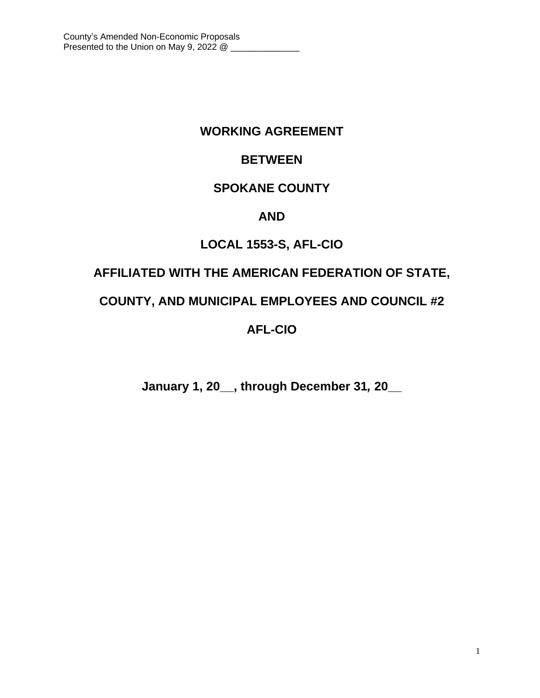# **WORKING AGREEMENT**

# **BETWEEN**

# **SPOKANE COUNTY**

## **AND**

# **LOCAL 1553-S, AFL-CIO**

# **AFFILIATED WITH THE AMERICAN FEDERATION OF STATE,**

## **COUNTY, AND MUNICIPAL EMPLOYEES AND COUNCIL #2**

# **AFL-CIO**

**January 1, 20\_\_, through December 31***,* **20\_\_**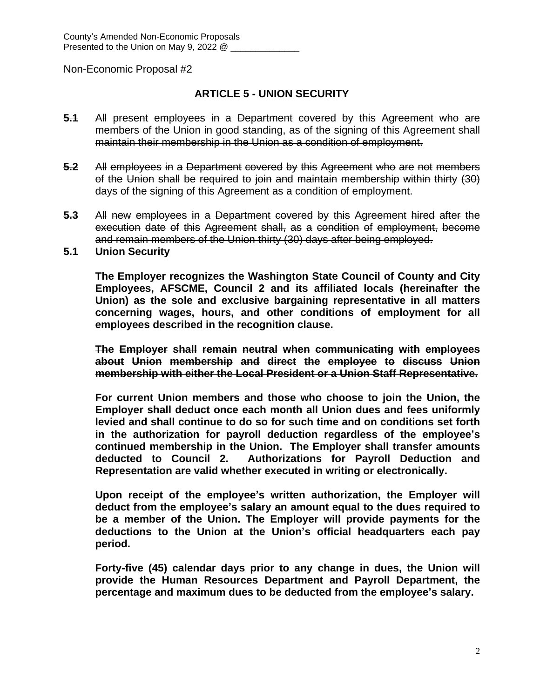## **ARTICLE 5 - UNION SECURITY**

- **5.1** All present employees in a Department covered by this Agreement who are members of the Union in good standing, as of the signing of this Agreement shall maintain their membership in the Union as a condition of employment.
- **5.2** All employees in a Department covered by this Agreement who are not members of the Union shall be required to join and maintain membership within thirty (30) days of the signing of this Agreement as a condition of employment.
- **5.3** All new employees in a Department covered by this Agreement hired after the execution date of this Agreement shall, as a condition of employment, become and remain members of the Union thirty (30) days after being employed.
- **5.1 Union Security**

**The Employer recognizes the Washington State Council of County and City Employees, AFSCME, Council 2 and its affiliated locals (hereinafter the Union) as the sole and exclusive bargaining representative in all matters concerning wages, hours, and other conditions of employment for all employees described in the recognition clause.**

**The Employer shall remain neutral when communicating with employees about Union membership and direct the employee to discuss Union membership with either the Local President or a Union Staff Representative.**

**For current Union members and those who choose to join the Union, the Employer shall deduct once each month all Union dues and fees uniformly levied and shall continue to do so for such time and on conditions set forth in the authorization for payroll deduction regardless of the employee's continued membership in the Union. The Employer shall transfer amounts deducted to Council 2. Authorizations for Payroll Deduction and Representation are valid whether executed in writing or electronically.**

**Upon receipt of the employee's written authorization, the Employer will deduct from the employee's salary an amount equal to the dues required to be a member of the Union. The Employer will provide payments for the deductions to the Union at the Union's official headquarters each pay period.** 

**Forty-five (45) calendar days prior to any change in dues, the Union will provide the Human Resources Department and Payroll Department, the percentage and maximum dues to be deducted from the employee's salary.**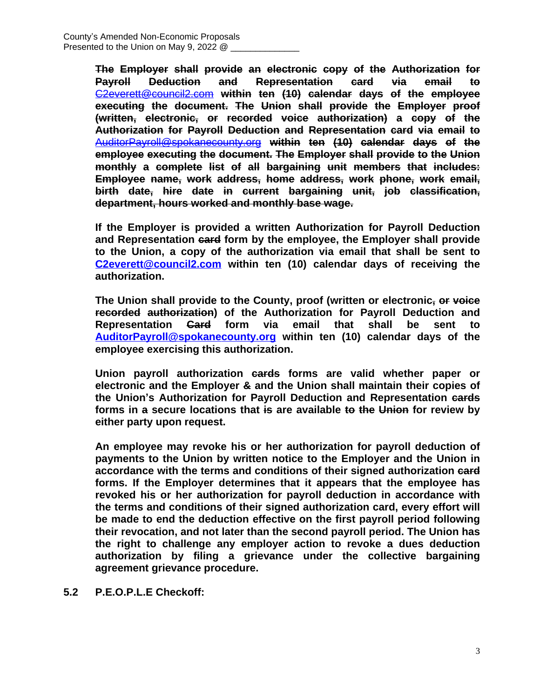**The Employer shall provide an electronic copy of the Authorization for Payroll Deduction and Representation card via email to** [C2everett@council2.com](mailto:C2everett@council2.com) **within ten (10) calendar days of the employee executing the document. The Union shall provide the Employer proof (written, electronic, or recorded voice authorization) a copy of the Authorization for Payroll Deduction and Representation card via email to** [AuditorPayroll@spokanecounty.org](mailto:AuditorPayroll@spokanecounty.org) **within ten (10) calendar days of the employee executing the document. The Employer shall provide to the Union monthly a complete list of all bargaining unit members that includes: Employee name, work address, home address, work phone, work email, birth date, hire date in current bargaining unit, job classification, department, hours worked and monthly base wage.**

**If the Employer is provided a written Authorization for Payroll Deduction and Representation card form by the employee, the Employer shall provide to the Union, a copy of the authorization via email that shall be sent to [C2everett@council2.com](mailto:C2everett@council2.com) within ten (10) calendar days of receiving the authorization.**

**The Union shall provide to the County, proof (written or electronic, or voice recorded authorization) of the Authorization for Payroll Deduction and Representation Card form via email that shall be sent to [AuditorPayroll@spokanecounty.org](mailto:AuditorPayroll@spokanecounty.org) within ten (10) calendar days of the employee exercising this authorization.**

**Union payroll authorization cards forms are valid whether paper or electronic and the Employer & and the Union shall maintain their copies of the Union's Authorization for Payroll Deduction and Representation cards forms in a secure locations that is are available to the Union for review by either party upon request.**

**An employee may revoke his or her authorization for payroll deduction of payments to the Union by written notice to the Employer and the Union in accordance with the terms and conditions of their signed authorization card forms. If the Employer determines that it appears that the employee has revoked his or her authorization for payroll deduction in accordance with the terms and conditions of their signed authorization card, every effort will be made to end the deduction effective on the first payroll period following their revocation, and not later than the second payroll period. The Union has the right to challenge any employer action to revoke a dues deduction authorization by filing a grievance under the collective bargaining agreement grievance procedure.**

**5.2 P.E.O.P.L.E Checkoff:**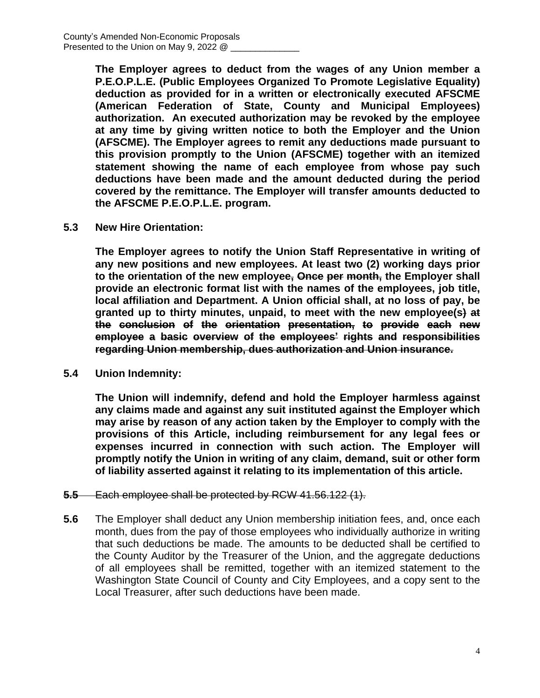**The Employer agrees to deduct from the wages of any Union member a P.E.O.P.L.E. (Public Employees Organized To Promote Legislative Equality) deduction as provided for in a written or electronically executed AFSCME (American Federation of State, County and Municipal Employees) authorization. An executed authorization may be revoked by the employee at any time by giving written notice to both the Employer and the Union (AFSCME). The Employer agrees to remit any deductions made pursuant to this provision promptly to the Union (AFSCME) together with an itemized statement showing the name of each employee from whose pay such deductions have been made and the amount deducted during the period covered by the remittance. The Employer will transfer amounts deducted to the AFSCME P.E.O.P.L.E. program.**

**5.3 New Hire Orientation:**

**The Employer agrees to notify the Union Staff Representative in writing of any new positions and new employees. At least two (2) working days prior to the orientation of the new employee, Once per month, the Employer shall provide an electronic format list with the names of the employees, job title, local affiliation and Department. A Union official shall, at no loss of pay, be granted up to thirty minutes, unpaid, to meet with the new employee(s) at the conclusion of the orientation presentation, to provide each new employee a basic overview of the employees' rights and responsibilities regarding Union membership, dues authorization and Union insurance.**

**5.4 Union Indemnity:**

**The Union will indemnify, defend and hold the Employer harmless against any claims made and against any suit instituted against the Employer which may arise by reason of any action taken by the Employer to comply with the provisions of this Article, including reimbursement for any legal fees or expenses incurred in connection with such action. The Employer will promptly notify the Union in writing of any claim, demand, suit or other form of liability asserted against it relating to its implementation of this article.**

- **5.5** Each employee shall be protected by RCW 41.56.122 (1).
- **5.6** The Employer shall deduct any Union membership initiation fees, and, once each month, dues from the pay of those employees who individually authorize in writing that such deductions be made. The amounts to be deducted shall be certified to the County Auditor by the Treasurer of the Union, and the aggregate deductions of all employees shall be remitted, together with an itemized statement to the Washington State Council of County and City Employees, and a copy sent to the Local Treasurer, after such deductions have been made.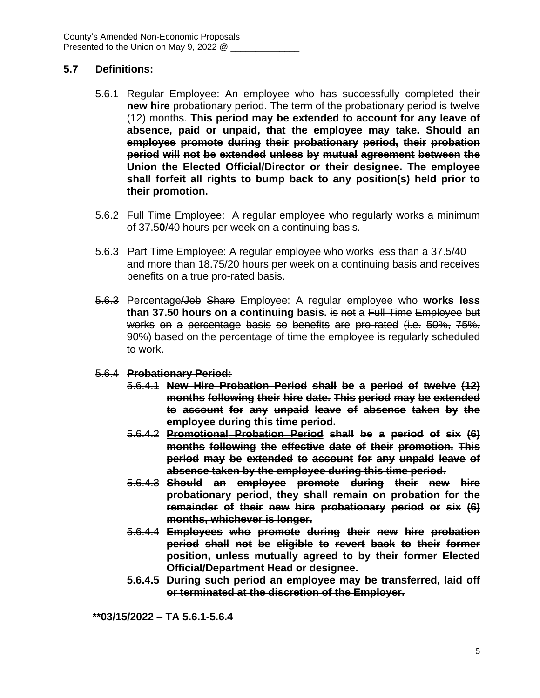## **5.7 Definitions:**

- 5.6.1 Regular Employee: An employee who has successfully completed their **new hire** probationary period. The term of the probationary period is twelve (12) months. **This period may be extended to account for any leave of absence, paid or unpaid, that the employee may take. Should an employee promote during their probationary period, their probation period will not be extended unless by mutual agreement between the Union the Elected Official/Director or their designee. The employee shall forfeit all rights to bump back to any position(s) held prior to their promotion.**
- 5.6.2 Full Time Employee: A regular employee who regularly works a minimum of 37.5**0**/40 hours per week on a continuing basis.
- 5.6.3 Part Time Employee: A regular employee who works less than a 37.5/40 and more than 18.75/20 hours per week on a continuing basis and receives benefits on a true pro-rated basis.
- 5.6.3 Percentage/Job Share Employee: A regular employee who **works less than 37.50 hours on a continuing basis.** is not a Full-Time Employee but works on a percentage basis so benefits are pro-rated (i.e. 50%, 75%, 90%) based on the percentage of time the employee is regularly scheduled to work.
- 5.6.4 **Probationary Period:**
	- 5.6.4.1 **New Hire Probation Period shall be a period of twelve (12) months following their hire date. This period may be extended to account for any unpaid leave of absence taken by the employee during this time period.**
	- 5.6.4.2 **Promotional Probation Period shall be a period of six (6) months following the effective date of their promotion. This period may be extended to account for any unpaid leave of absence taken by the employee during this time period.**
	- 5.6.4.3 **Should an employee promote during their new hire probationary period, they shall remain on probation for the remainder of their new hire probationary period or six (6) months, whichever is longer.**
	- 5.6.4.4 **Employees who promote during their new hire probation period shall not be eligible to revert back to their former position, unless mutually agreed to by their former Elected Official/Department Head or designee.**
	- **5.6.4.5 During such period an employee may be transferred, laid off or terminated at the discretion of the Employer.**

**\*\*03/15/2022 – TA 5.6.1-5.6.4**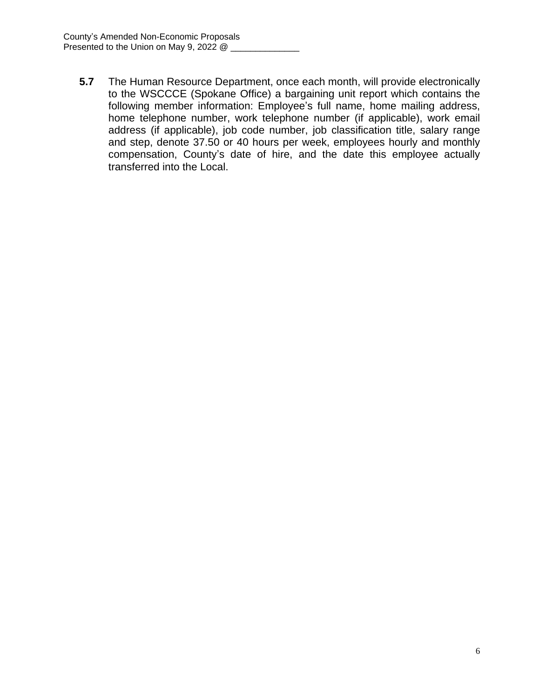**5.7** The Human Resource Department, once each month, will provide electronically to the WSCCCE (Spokane Office) a bargaining unit report which contains the following member information: Employee's full name, home mailing address, home telephone number, work telephone number (if applicable), work email address (if applicable), job code number, job classification title, salary range and step, denote 37.50 or 40 hours per week, employees hourly and monthly compensation, County's date of hire, and the date this employee actually transferred into the Local.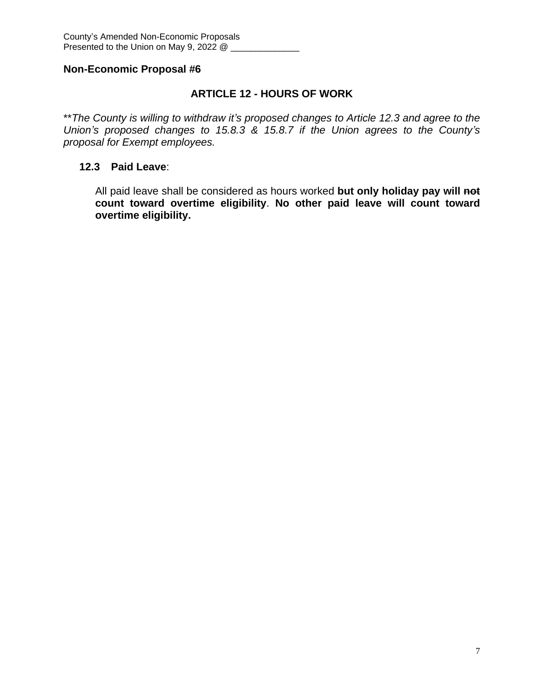## **ARTICLE 12 - HOURS OF WORK**

\*\**The County is willing to withdraw it's proposed changes to Article 12.3 and agree to the Union's proposed changes to 15.8.3 & 15.8.7 if the Union agrees to the County's proposal for Exempt employees.*

### **12.3 Paid Leave**:

All paid leave shall be considered as hours worked **but only holiday pay will not count toward overtime eligibility**. **No other paid leave will count toward overtime eligibility.**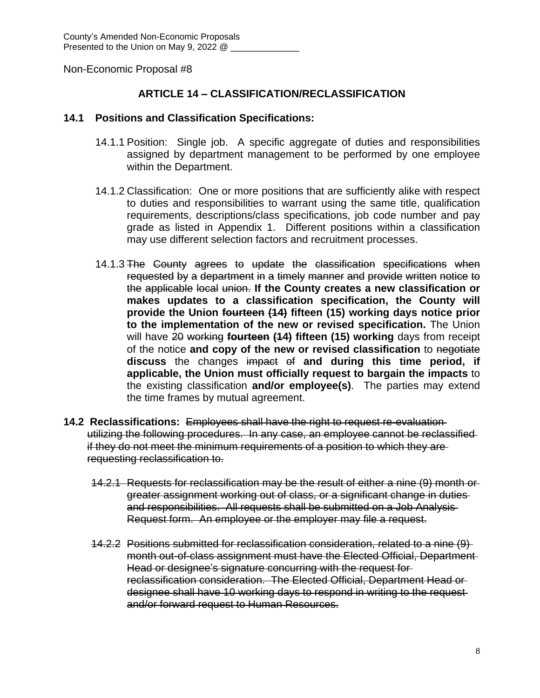## **ARTICLE 14 – CLASSIFICATION/RECLASSIFICATION**

#### **14.1 Positions and Classification Specifications:**

- 14.1.1 Position: Single job. A specific aggregate of duties and responsibilities assigned by department management to be performed by one employee within the Department.
- 14.1.2 Classification: One or more positions that are sufficiently alike with respect to duties and responsibilities to warrant using the same title, qualification requirements, descriptions/class specifications, job code number and pay grade as listed in Appendix 1. Different positions within a classification may use different selection factors and recruitment processes.
- 14.1.3 The County agrees to update the classification specifications when requested by a department in a timely manner and provide written notice to the applicable local union. **If the County creates a new classification or makes updates to a classification specification, the County will provide the Union fourteen (14) fifteen (15) working days notice prior to the implementation of the new or revised specification.** The Union will have 20 working **fourteen (14) fifteen (15) working** days from receipt of the notice **and copy of the new or revised classification** to negotiate **discuss** the changes impact of **and during this time period, if applicable, the Union must officially request to bargain the impacts** to the existing classification **and/or employee(s)**. The parties may extend the time frames by mutual agreement.
- **14.2 Reclassifications:** Employees shall have the right to request re-evaluation utilizing the following procedures. In any case, an employee cannot be reclassified if they do not meet the minimum requirements of a position to which they are requesting reclassification to.
	- 14.2.1 Requests for reclassification may be the result of either a nine (9) month or greater assignment working out of class, or a significant change in duties and responsibilities. All requests shall be submitted on a Job Analysis Request form. An employee or the employer may file a request.
	- 14.2.2 Positions submitted for reclassification consideration, related to a nine (9) month out-of-class assignment must have the Elected Official, Department Head or designee's signature concurring with the request for reclassification consideration. The Elected Official, Department Head or designee shall have 10 working days to respond in writing to the request and/or forward request to Human Resources.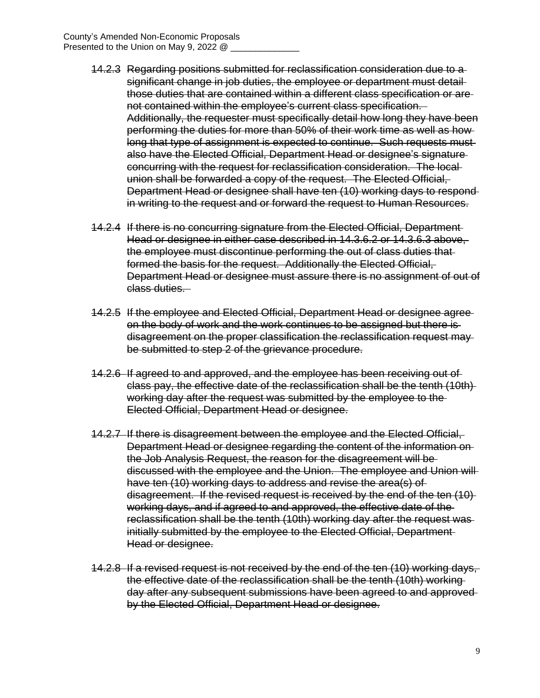- 14.2.3 Regarding positions submitted for reclassification consideration due to a significant change in job duties, the employee or department must detailthose duties that are contained within a different class specification or are not contained within the employee's current class specification. Additionally, the requester must specifically detail how long they have been performing the duties for more than 50% of their work time as well as how long that type of assignment is expected to continue. Such requests must also have the Elected Official, Department Head or designee's signature concurring with the request for reclassification consideration. The local union shall be forwarded a copy of the request. The Elected Official, Department Head or designee shall have ten (10) working days to respond in writing to the request and or forward the request to Human Resources.
- 14.2.4 If there is no concurring signature from the Elected Official, Department Head or designee in either case described in 14.3.6.2 or 14.3.6.3 above, the employee must discontinue performing the out of class duties that formed the basis for the request. Additionally the Elected Official, Department Head or designee must assure there is no assignment of out of class duties.
- 14.2.5 If the employee and Elected Official, Department Head or designee agree on the body of work and the work continues to be assigned but there is disagreement on the proper classification the reclassification request may be submitted to step 2 of the grievance procedure.
- 14.2.6 If agreed to and approved, and the employee has been receiving out of class pay, the effective date of the reclassification shall be the tenth (10th) working day after the request was submitted by the employee to the Elected Official, Department Head or designee.
- 14.2.7 If there is disagreement between the employee and the Elected Official, Department Head or designee regarding the content of the information on the Job Analysis Request, the reason for the disagreement will be discussed with the employee and the Union. The employee and Union will have ten (10) working days to address and revise the area(s) of disagreement. If the revised request is received by the end of the ten (10) working days, and if agreed to and approved, the effective date of the reclassification shall be the tenth (10th) working day after the request was initially submitted by the employee to the Elected Official, Department Head or designee.
- 14.2.8 If a revised request is not received by the end of the ten (10) working days, the effective date of the reclassification shall be the tenth (10th) working day after any subsequent submissions have been agreed to and approved by the Elected Official, Department Head or designee.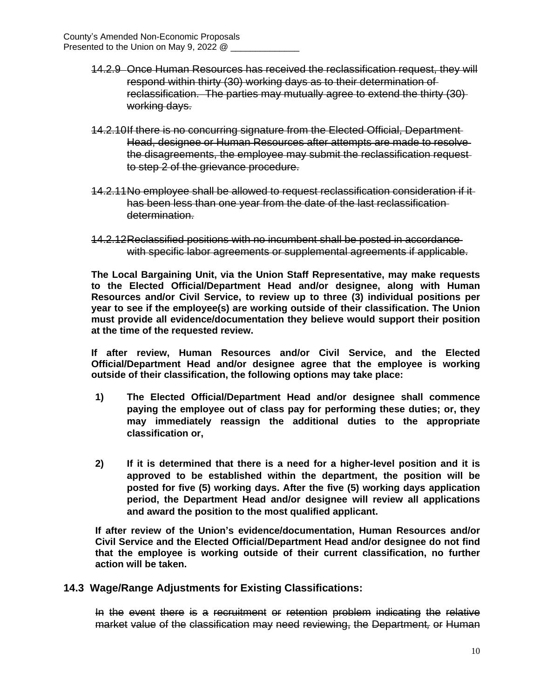- 14.2.9 Once Human Resources has received the reclassification request, they will respond within thirty (30) working days as to their determination of reclassification. The parties may mutually agree to extend the thirty (30) working days.
- 14.2.10If there is no concurring signature from the Elected Official, Department Head, designee or Human Resources after attempts are made to resolve the disagreements, the employee may submit the reclassification request to step 2 of the grievance procedure.
- 14.2.11No employee shall be allowed to request reclassification consideration if it has been less than one year from the date of the last reclassification determination.
- 14.2.12Reclassified positions with no incumbent shall be posted in accordance with specific labor agreements or supplemental agreements if applicable.

**The Local Bargaining Unit, via the Union Staff Representative, may make requests to the Elected Official/Department Head and/or designee, along with Human Resources and/or Civil Service, to review up to three (3) individual positions per year to see if the employee(s) are working outside of their classification. The Union must provide all evidence/documentation they believe would support their position at the time of the requested review.**

**If after review, Human Resources and/or Civil Service, and the Elected Official/Department Head and/or designee agree that the employee is working outside of their classification, the following options may take place:**

- **1) The Elected Official/Department Head and/or designee shall commence paying the employee out of class pay for performing these duties; or, they may immediately reassign the additional duties to the appropriate classification or,**
- **2) If it is determined that there is a need for a higher-level position and it is approved to be established within the department, the position will be posted for five (5) working days. After the five (5) working days application period, the Department Head and/or designee will review all applications and award the position to the most qualified applicant.**

**If after review of the Union's evidence/documentation, Human Resources and/or Civil Service and the Elected Official/Department Head and/or designee do not find that the employee is working outside of their current classification, no further action will be taken.** 

### **14.3 Wage/Range Adjustments for Existing Classifications:**

In the event there is a recruitment or retention problem indicating the relative market value of the classification may need reviewing, the Department*,* or Human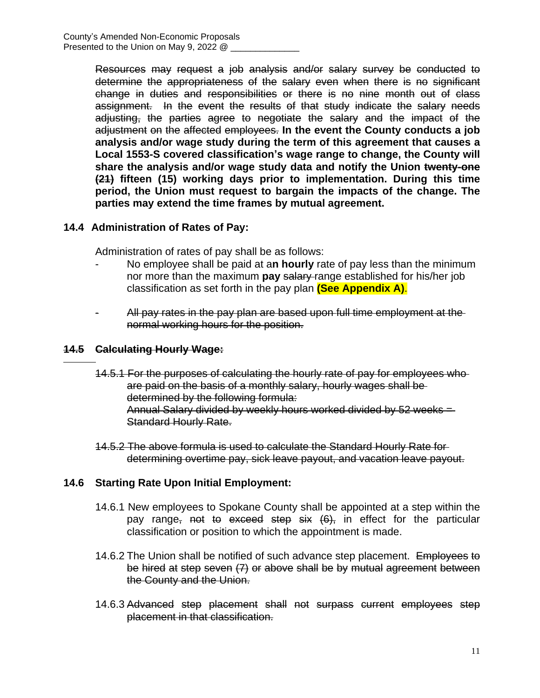Resources may request a job analysis and/or salary survey be conducted to determine the appropriateness of the salary even when there is no significant change in duties and responsibilities or there is no nine month out of class assignment. In the event the results of that study indicate the salary needs adjusting, the parties agree to negotiate the salary and the impact of the adjustment on the affected employees. **In the event the County conducts a job analysis and/or wage study during the term of this agreement that causes a Local 1553-S covered classification's wage range to change, the County will share the analysis and/or wage study data and notify the Union twenty-one (21) fifteen (15) working days prior to implementation. During this time period, the Union must request to bargain the impacts of the change. The parties may extend the time frames by mutual agreement.**

### **14.4 Administration of Rates of Pay:**

Administration of rates of pay shall be as follows:

- No employee shall be paid at a**n hourly** rate of pay less than the minimum nor more than the maximum **pay** salary range established for his/her job classification as set forth in the pay plan **(See Appendix A)**.
- All pay rates in the pay plan are based upon full time employment at the normal working hours for the position.

## **14.5 Calculating Hourly Wage:**

 $\overline{a}$ 

- 14.5.1 For the purposes of calculating the hourly rate of pay for employees who are paid on the basis of a monthly salary, hourly wages shall be determined by the following formula: Annual Salary divided by weekly hours worked divided by 52 weeks = Standard Hourly Rate.
- 14.5.2 The above formula is used to calculate the Standard Hourly Rate for determining overtime pay, sick leave payout, and vacation leave payout.

### **14.6 Starting Rate Upon Initial Employment:**

- 14.6.1 New employees to Spokane County shall be appointed at a step within the pay range, not to exceed step six  $(6)$ , in effect for the particular classification or position to which the appointment is made.
- 14.6.2 The Union shall be notified of such advance step placement. Employees to be hired at step seven (7) or above shall be by mutual agreement between the County and the Union.
- 14.6.3 Advanced step placement shall not surpass current employees step placement in that classification.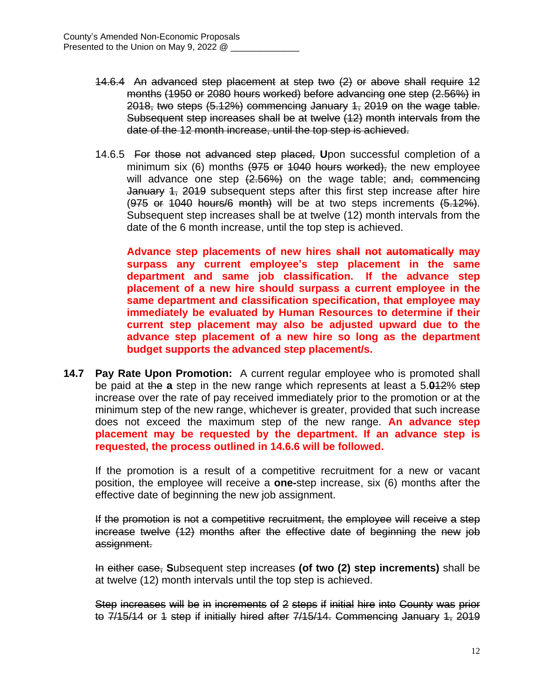- 14.6.4 An advanced step placement at step two (2) or above shall require 12 months (1950 or 2080 hours worked) before advancing one step (2.56%) in 2018, two steps (5.12%) commencing January 1, 2019 on the wage table. Subsequent step increases shall be at twelve (12) month intervals from the date of the 12 month increase, until the top step is achieved.
- 14.6.5 For those not advanced step placed, **U**pon successful completion of a minimum six (6) months (975 or 1040 hours worked), the new employee will advance one step  $(2.56%)$  on the wage table; and, commencing January 4, 2019 subsequent steps after this first step increase after hire  $(975$  or  $1040$  hours/6 month) will be at two steps increments  $(5.12\%)$ . Subsequent step increases shall be at twelve (12) month intervals from the date of the 6 month increase, until the top step is achieved.

**Advance step placements of new hires shall not automatically may surpass any current employee's step placement in the same department and same job classification. If the advance step placement of a new hire should surpass a current employee in the same department and classification specification, that employee may immediately be evaluated by Human Resources to determine if their current step placement may also be adjusted upward due to the advance step placement of a new hire so long as the department budget supports the advanced step placement/s.**

**14.7 Pay Rate Upon Promotion:** A current regular employee who is promoted shall be paid at the **a** step in the new range which represents at least a 5.**0**12% step increase over the rate of pay received immediately prior to the promotion or at the minimum step of the new range, whichever is greater, provided that such increase does not exceed the maximum step of the new range. **An advance step placement may be requested by the department. If an advance step is requested, the process outlined in 14.6.6 will be followed.**

If the promotion is a result of a competitive recruitment for a new or vacant position, the employee will receive a **one-**step increase, six (6) months after the effective date of beginning the new job assignment.

If the promotion is not a competitive recruitment, the employee will receive a step increase twelve (12) months after the effective date of beginning the new job assignment.

In either case, **S**ubsequent step increases **(of two (2) step increments)** shall be at twelve (12) month intervals until the top step is achieved.

Step increases will be in increments of 2 steps if initial hire into County was prior to 7/15/14 or 1 step if initially hired after 7/15/14. Commencing January 1, 2019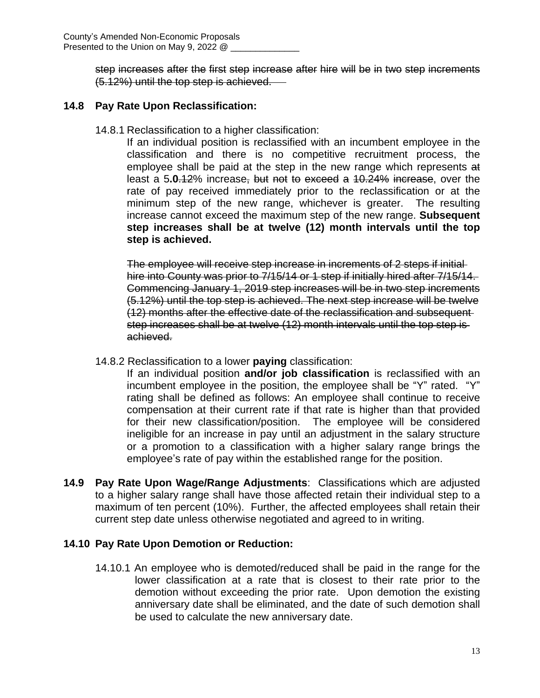step increases after the first step increase after hire will be in two step increments (5.12%) until the top step is achieved.

## **14.8 Pay Rate Upon Reclassification:**

14.8.1 Reclassification to a higher classification:

If an individual position is reclassified with an incumbent employee in the classification and there is no competitive recruitment process, the employee shall be paid at the step in the new range which represents at least a 5**.0**.12% increase, but not to exceed a 10.24% increase, over the rate of pay received immediately prior to the reclassification or at the minimum step of the new range, whichever is greater. The resulting increase cannot exceed the maximum step of the new range. **Subsequent step increases shall be at twelve (12) month intervals until the top step is achieved.**

The employee will receive step increase in increments of 2 steps if initial hire into County was prior to 7/15/14 or 1 step if initially hired after 7/15/14. Commencing January 1, 2019 step increases will be in two step increments (5.12%) until the top step is achieved. The next step increase will be twelve (12) months after the effective date of the reclassification and subsequent step increases shall be at twelve (12) month intervals until the top step is achieved.

14.8.2 Reclassification to a lower **paying** classification:

If an individual position **and/or job classification** is reclassified with an incumbent employee in the position, the employee shall be "Y" rated. "Y" rating shall be defined as follows: An employee shall continue to receive compensation at their current rate if that rate is higher than that provided for their new classification/position. The employee will be considered ineligible for an increase in pay until an adjustment in the salary structure or a promotion to a classification with a higher salary range brings the employee's rate of pay within the established range for the position.

**14.9 Pay Rate Upon Wage/Range Adjustments**: Classifications which are adjusted to a higher salary range shall have those affected retain their individual step to a maximum of ten percent (10%). Further, the affected employees shall retain their current step date unless otherwise negotiated and agreed to in writing.

### **14.10 Pay Rate Upon Demotion or Reduction:**

14.10.1 An employee who is demoted/reduced shall be paid in the range for the lower classification at a rate that is closest to their rate prior to the demotion without exceeding the prior rate. Upon demotion the existing anniversary date shall be eliminated, and the date of such demotion shall be used to calculate the new anniversary date.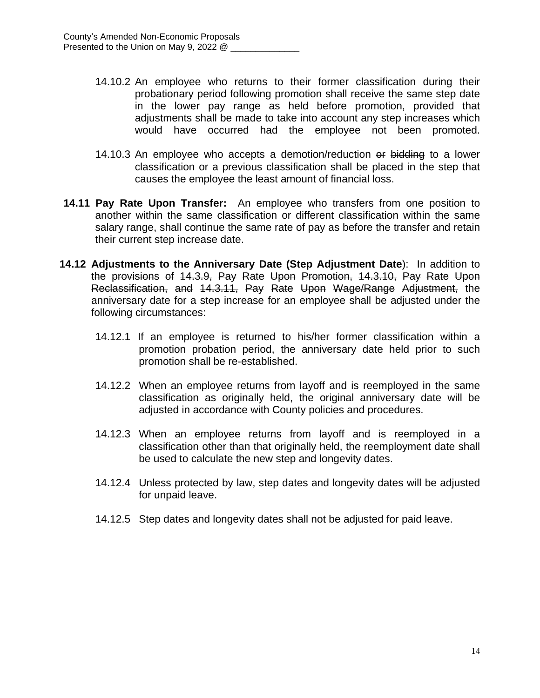- 14.10.2 An employee who returns to their former classification during their probationary period following promotion shall receive the same step date in the lower pay range as held before promotion, provided that adjustments shall be made to take into account any step increases which would have occurred had the employee not been promoted.
- 14.10.3 An employee who accepts a demotion/reduction or bidding to a lower classification or a previous classification shall be placed in the step that causes the employee the least amount of financial loss.
- **14.11 Pay Rate Upon Transfer:** An employee who transfers from one position to another within the same classification or different classification within the same salary range, shall continue the same rate of pay as before the transfer and retain their current step increase date.
- **14.12 Adjustments to the Anniversary Date (Step Adjustment Date**): In addition to the provisions of 14.3.9, Pay Rate Upon Promotion, 14.3.10, Pay Rate Upon Reclassification, and 14.3.11, Pay Rate Upon Wage/Range Adjustment, the anniversary date for a step increase for an employee shall be adjusted under the following circumstances:
	- 14.12.1 If an employee is returned to his/her former classification within a promotion probation period, the anniversary date held prior to such promotion shall be re-established.
	- 14.12.2 When an employee returns from layoff and is reemployed in the same classification as originally held, the original anniversary date will be adjusted in accordance with County policies and procedures.
	- 14.12.3 When an employee returns from layoff and is reemployed in a classification other than that originally held, the reemployment date shall be used to calculate the new step and longevity dates.
	- 14.12.4 Unless protected by law, step dates and longevity dates will be adjusted for unpaid leave.
	- 14.12.5 Step dates and longevity dates shall not be adjusted for paid leave.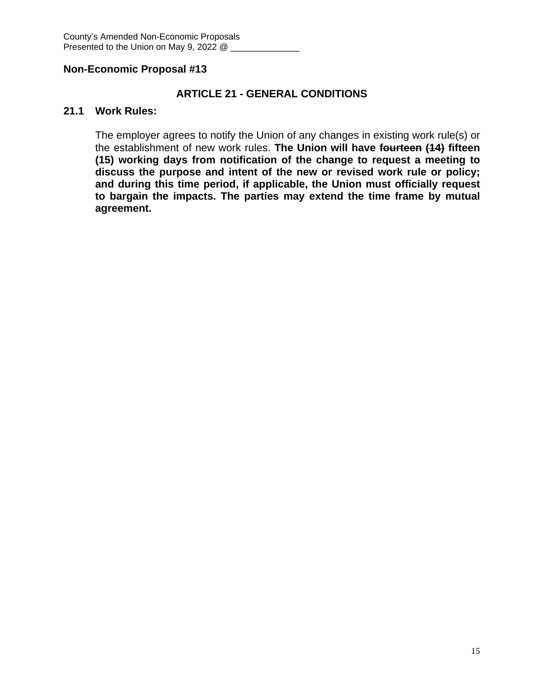## **ARTICLE 21 - GENERAL CONDITIONS**

#### **21.1 Work Rules:**

The employer agrees to notify the Union of any changes in existing work rule(s) or the establishment of new work rules. **The Union will have fourteen (14) fifteen (15) working days from notification of the change to request a meeting to discuss the purpose and intent of the new or revised work rule or policy; and during this time period, if applicable, the Union must officially request to bargain the impacts. The parties may extend the time frame by mutual agreement.**